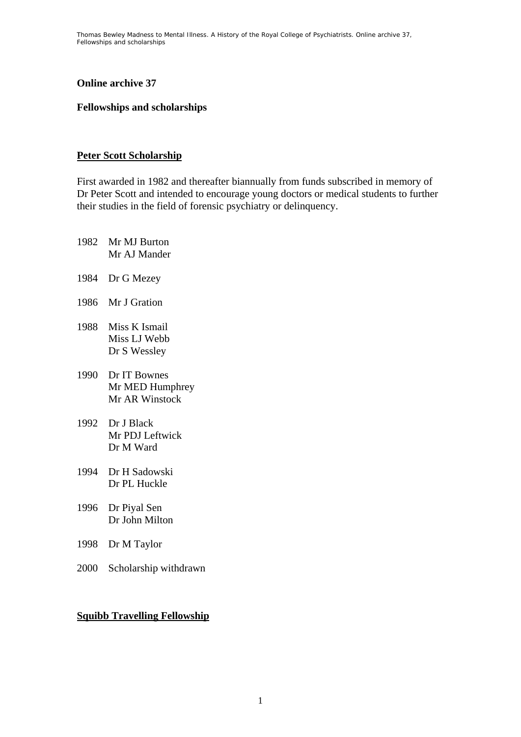Thomas Bewley *Madness to Mental Illness. A History of the Royal College of Psychiatrists*. Online archive 37, *Fellowships and scholarships*

#### **Online archive 37**

#### **Fellowships and scholarships**

#### **Peter Scott Scholarship**

First awarded in 1982 and thereafter biannually from funds subscribed in memory of Dr Peter Scott and intended to encourage young doctors or medical students to further their studies in the field of forensic psychiatry or delinquency.

- 1982 Mr MJ Burton Mr AJ Mander
- 1984 Dr G Mezey
- 1986 Mr J Gration
- 1988 Miss K Ismail Miss LJ Webb Dr S Wessley
- 1990 Dr IT Bownes Mr MED Humphrey Mr AR Winstock
- 1992 Dr J Black Mr PDJ Leftwick Dr M Ward
- 1994 Dr H Sadowski Dr PL Huckle
- 1996 Dr Piyal Sen Dr John Milton
- 1998 Dr M Taylor
- 2000 Scholarship withdrawn

#### **Squibb Travelling Fellowship**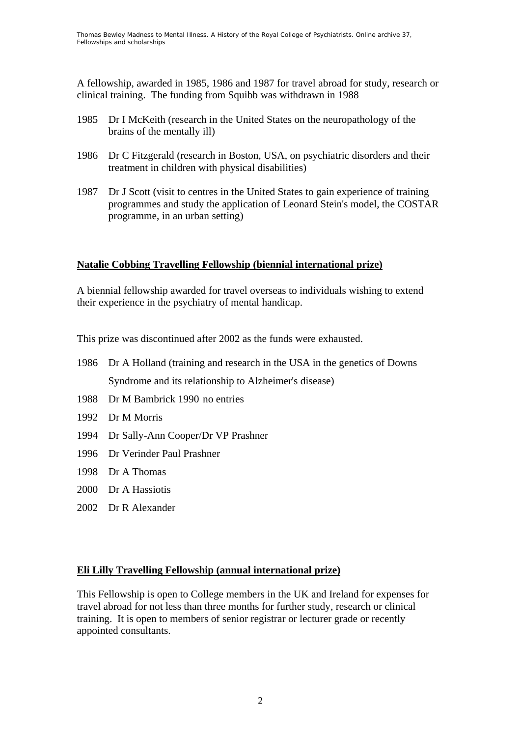A fellowship, awarded in 1985, 1986 and 1987 for travel abroad for study, research or clinical training. The funding from Squibb was withdrawn in 1988

- 1985 Dr I McKeith (research in the United States on the neuropathology of the brains of the mentally ill)
- 1986 Dr C Fitzgerald (research in Boston, USA, on psychiatric disorders and their treatment in children with physical disabilities)
- 1987 Dr J Scott (visit to centres in the United States to gain experience of training programmes and study the application of Leonard Stein's model, the COSTAR programme, in an urban setting)

## **Natalie Cobbing Travelling Fellowship (biennial international prize)**

A biennial fellowship awarded for travel overseas to individuals wishing to extend their experience in the psychiatry of mental handicap.

This prize was discontinued after 2002 as the funds were exhausted.

- 1986 Dr A Holland (training and research in the USA in the genetics of Downs Syndrome and its relationship to Alzheimer's disease)
- 1988 Dr M Bambrick 1990 no entries
- 1992 Dr M Morris
- 1994 Dr Sally-Ann Cooper/Dr VP Prashner
- 1996 Dr Verinder Paul Prashner
- 1998 Dr A Thomas
- 2000 Dr A Hassiotis
- 2002 Dr R Alexander

## **Eli Lilly Travelling Fellowship (annual international prize)**

This Fellowship is open to College members in the UK and Ireland for expenses for travel abroad for not less than three months for further study, research or clinical training. It is open to members of senior registrar or lecturer grade or recently appointed consultants.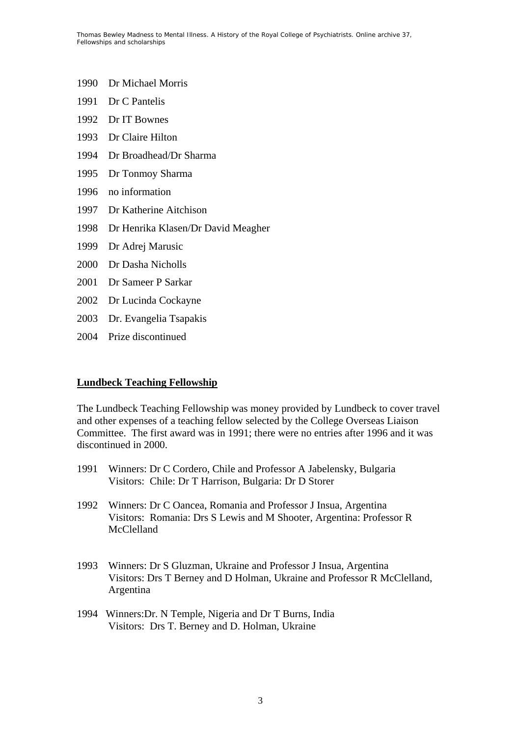- 1990 Dr Michael Morris
- 1991 Dr C Pantelis
- 1992 Dr IT Bownes
- 1993 Dr Claire Hilton
- 1994 Dr Broadhead/Dr Sharma
- 1995 Dr Tonmoy Sharma
- 1996 no information
- 1997 Dr Katherine Aitchison
- 1998 Dr Henrika Klasen/Dr David Meagher
- 1999 Dr Adrej Marusic
- 2000 Dr Dasha Nicholls
- 2001 Dr Sameer P Sarkar
- 2002 Dr Lucinda Cockayne
- 2003 Dr. Evangelia Tsapakis
- 2004 Prize discontinued

## **Lundbeck Teaching Fellowship**

The Lundbeck Teaching Fellowship was money provided by Lundbeck to cover travel and other expenses of a teaching fellow selected by the College Overseas Liaison Committee. The first award was in 1991; there were no entries after 1996 and it was discontinued in 2000.

- 1991 Winners: Dr C Cordero, Chile and Professor A Jabelensky, Bulgaria Visitors: Chile: Dr T Harrison, Bulgaria: Dr D Storer
- 1992 Winners: Dr C Oancea, Romania and Professor J Insua, Argentina Visitors: Romania: Drs S Lewis and M Shooter, Argentina: Professor R McClelland
- 1993 Winners: Dr S Gluzman, Ukraine and Professor J Insua, Argentina Visitors: Drs T Berney and D Holman, Ukraine and Professor R McClelland, Argentina
- 1994 Winners:Dr. N Temple, Nigeria and Dr T Burns, India Visitors: Drs T. Berney and D. Holman, Ukraine